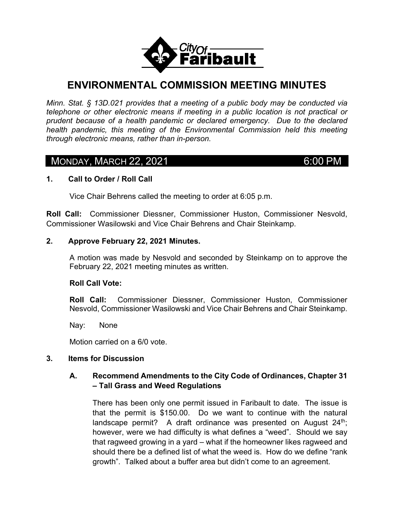

# **ENVIRONMENTAL COMMISSION MEETING MINUTES**

*Minn. Stat. § 13D.021 provides that a meeting of a public body may be conducted via telephone or other electronic means if meeting in a public location is not practical or prudent because of a health pandemic or declared emergency. Due to the declared health pandemic, this meeting of the Environmental Commission held this meeting through electronic means, rather than in-person.* 

# **MONDAY, MARCH 22, 2021** 6:00 PM

#### **1. Call to Order / Roll Call**

Vice Chair Behrens called the meeting to order at 6:05 p.m.

**Roll Call:** Commissioner Diessner, Commissioner Huston, Commissioner Nesvold, Commissioner Wasilowski and Vice Chair Behrens and Chair Steinkamp.

#### **2. Approve February 22, 2021 Minutes.**

A motion was made by Nesvold and seconded by Steinkamp on to approve the February 22, 2021 meeting minutes as written.

#### **Roll Call Vote:**

**Roll Call:** Commissioner Diessner, Commissioner Huston, Commissioner Nesvold, Commissioner Wasilowski and Vice Chair Behrens and Chair Steinkamp.

Nay: None

Motion carried on a 6/0 vote.

#### **3. Items for Discussion**

# **A. Recommend Amendments to the City Code of Ordinances, Chapter 31 – Tall Grass and Weed Regulations**

There has been only one permit issued in Faribault to date. The issue is that the permit is \$150.00. Do we want to continue with the natural landscape permit? A draft ordinance was presented on August  $24<sup>th</sup>$ ; however, were we had difficulty is what defines a "weed". Should we say that ragweed growing in a yard – what if the homeowner likes ragweed and should there be a defined list of what the weed is. How do we define "rank growth". Talked about a buffer area but didn't come to an agreement.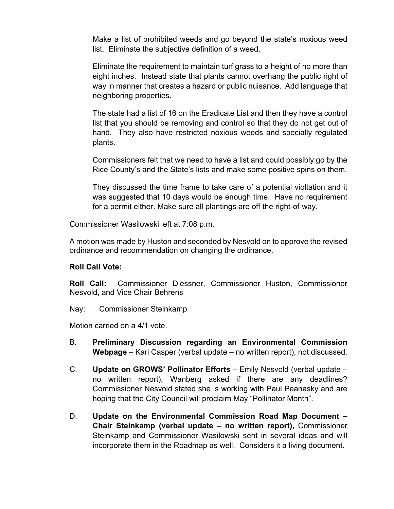Make a list of prohibited weeds and go beyond the state's noxious weed list. Eliminate the subjective definition of a weed.

Eliminate the requirement to maintain turf grass to a height of no more than eight inches. Instead state that plants cannot overhang the public right of way in manner that creates a hazard or public nuisance. Add language that neighboring properties.

The state had a list of 16 on the Eradicate List and then they have a control list that you should be removing and control so that they do not get out of hand. They also have restricted noxious weeds and specially regulated plants.

Commissioners felt that we need to have a list and could possibly go by the Rice County's and the State's lists and make some positive spins on them.

They discussed the time frame to take care of a potential violtation and it was suggested that 10 days would be enough time. Have no requirement for a permit either. Make sure all plantings are off the right-of-way.

Commissioner Wasilowski left at 7:08 p.m.

A motion was made by Huston and seconded by Nesvold on to approve the revised ordinance and recommendation on changing the ordinance.

#### **Roll Call Vote:**

**Roll Call:** Commissioner Diessner, Commissioner Huston, Commissioner Nesvold, and Vice Chair Behrens

Nay: Commissioner Steinkamp

Motion carried on a 4/1 vote.

- B. **Preliminary Discussion regarding an Environmental Commission Webpage** – Kari Casper (verbal update – no written report), not discussed.
- C. **Update on GROWS' Pollinator Efforts** Emily Nesvold (verbal update no written report), Wanberg asked if there are any deadlines? Commissioner Nesvold stated she is working with Paul Peanasky and are hoping that the City Council will proclaim May "Pollinator Month".
- D. **Update on the Environmental Commission Road Map Document Chair Steinkamp (verbal update – no written report),** Commissioner Steinkamp and Commissioner Wasilowski sent in several ideas and will incorporate them in the Roadmap as well. Considers it a living document.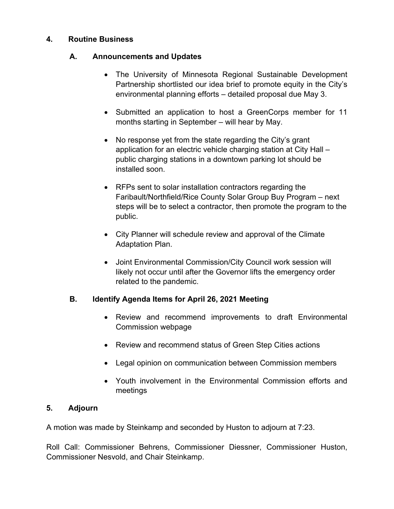## **4. Routine Business**

# **A. Announcements and Updates**

- The University of Minnesota Regional Sustainable Development Partnership shortlisted our idea brief to promote equity in the City's environmental planning efforts – detailed proposal due May 3.
- Submitted an application to host a GreenCorps member for 11 months starting in September – will hear by May.
- No response yet from the state regarding the City's grant application for an electric vehicle charging station at City Hall – public charging stations in a downtown parking lot should be installed soon.
- RFPs sent to solar installation contractors regarding the Faribault/Northfield/Rice County Solar Group Buy Program – next steps will be to select a contractor, then promote the program to the public.
- City Planner will schedule review and approval of the Climate Adaptation Plan.
- Joint Environmental Commission/City Council work session will likely not occur until after the Governor lifts the emergency order related to the pandemic.

# **B. Identify Agenda Items for April 26, 2021 Meeting**

- Review and recommend improvements to draft Environmental Commission webpage
- Review and recommend status of Green Step Cities actions
- Legal opinion on communication between Commission members
- Youth involvement in the Environmental Commission efforts and meetings

# **5. Adjourn**

A motion was made by Steinkamp and seconded by Huston to adjourn at 7:23.

Roll Call: Commissioner Behrens, Commissioner Diessner, Commissioner Huston, Commissioner Nesvold, and Chair Steinkamp.